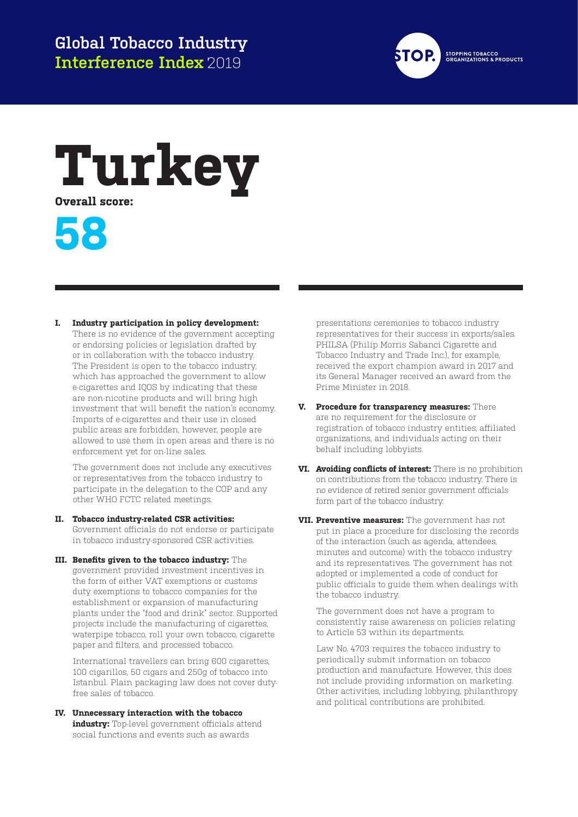

## **Turkey**

**Overall score:**



## **I. Industry participation in policy development:**

There is no evidence of the government accepting or endorsing policies or legislation drafted by or in collaboration with the tobacco industry. The President is open to the tobacco industry, which has approached the government to allow e-cigarettes and IQOS by indicating that these are non-nicotine products and will bring high investment that will benefit the nation's economy. Imports of e-cigarettes and their use in closed public areas are forbidden, however, people are allowed to use them in open areas and there is no enforcement yet for on-line sales.

The government does not include any executives or representatives from the tobacco industry to participate in the delegation to the COP and any other WHO FCTC related meetings.

- **II. Tobacco industry-related CSR activities:**  Government officials do not endorse or participate in tobacco industry-sponsored CSR activities.
- **III. Benefits given to the tobacco industry:** The government provided investment incentives in the form of either VAT exemptions or customs duty exemptions to tobacco companies for the establishment or expansion of manufacturing plants under the "food and drink" sector. Supported projects include the manufacturing of cigarettes, waterpipe tobacco, roll your own tobacco, cigarette paper and filters, and processed tobacco.

International travellers can bring 600 cigarettes, 100 cigarillos, 50 cigars and 250g of tobacco into Istanbul. Plain packaging law does not cover dutyfree sales of tobacco.

**IV. Unnecessary interaction with the tobacco industry:** Top-level government officials attend social functions and events such as awards

presentations ceremonies to tobacco industry representatives for their success in exports/sales. PHILSA (Philip Morris Sabanci Cigarette and Tobacco Industry and Trade Inc.), for example, received the export champion award in 2017 and its General Manager received an award from the Prime Minister in 2018.

- **V. Procedure for transparency measures:** There are no requirement for the disclosure or registration of tobacco industry entities, affiliated organizations, and individuals acting on their behalf including lobbyists.
- **VI. Avoiding conflicts of interest:** There is no prohibition on contributions from the tobacco industry. There is no evidence of retired senior government officials form part of the tobacco industry.
- **VII. Preventive measures:** The government has not put in place a procedure for disclosing the records of the interaction (such as agenda, attendees, minutes and outcome) with the tobacco industry and its representatives. The government has not adopted or implemented a code of conduct for public officials to guide them when dealings with the tobacco industry.

The government does not have a program to consistently raise awareness on policies relating to Article 53 within its departments.

Law No. 4703 requires the tobacco industry to periodically submit information on tobacco production and manufacture. However, this does not include providing information on marketing. Other activities, including lobbying, philanthropy and political contributions are prohibited.